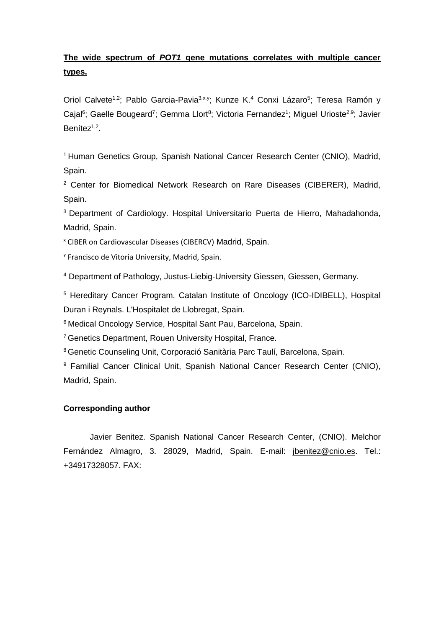# **The wide spectrum of** *POT1* **gene mutations correlates with multiple cancer types.**

Oriol Calvete<sup>1,2</sup>; Pablo Garcia-Pavia<sup>3,x,y</sup>; Kunze K.<sup>4</sup> Conxi Lázaro<sup>5</sup>; Teresa Ramón y Cajal<sup>6</sup>; Gaelle Bougeard<sup>7</sup>; Gemma Llort<sup>8</sup>; Victoria Fernandez<sup>1</sup>; Miguel Urioste<sup>2,9</sup>; Javier Benítez<sup>1,2</sup>.

<sup>1</sup> Human Genetics Group, Spanish National Cancer Research Center (CNIO), Madrid, Spain.

<sup>2</sup> Center for Biomedical Network Research on Rare Diseases (CIBERER), Madrid, Spain.

<sup>3</sup> Department of Cardiology. Hospital Universitario Puerta de Hierro, Mahadahonda, Madrid, Spain.

<sup>x</sup> CIBER on Cardiovascular Diseases (CIBERCV) Madrid, Spain.

y Francisco de Vitoria University, Madrid, Spain.

<sup>4</sup> Department of Pathology, Justus-Liebig-University Giessen, Giessen, Germany.

<sup>5</sup> Hereditary Cancer Program. Catalan Institute of Oncology (ICO-IDIBELL), Hospital Duran i Reynals. L'Hospitalet de Llobregat, Spain.

<sup>6</sup> Medical Oncology Service, Hospital Sant Pau, Barcelona, Spain.

<sup>7</sup> Genetics Department, Rouen University Hospital, France.

<sup>8</sup> Genetic Counseling Unit, Corporació Sanitària Parc Taulí, Barcelona, Spain.

<sup>9</sup> Familial Cancer Clinical Unit, Spanish National Cancer Research Center (CNIO), Madrid, Spain.

# **Corresponding author**

Javier Benitez. Spanish National Cancer Research Center, (CNIO). Melchor Fernández Almagro, 3. 28029, Madrid, Spain. E-mail: [jbenitez@cnio.es.](mailto:jbenitez@cnio.es) Tel.: +34917328057. FAX: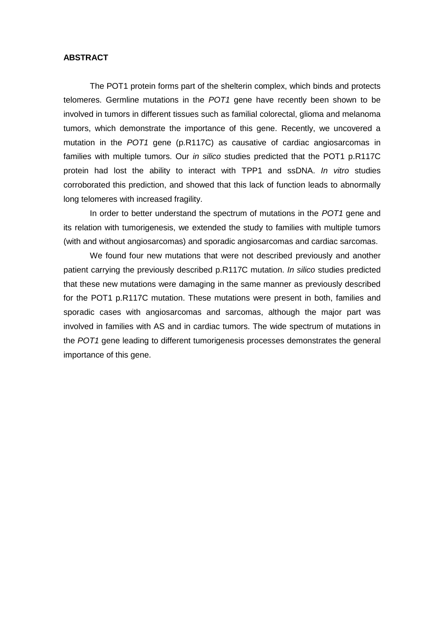# **ABSTRACT**

The POT1 protein forms part of the shelterin complex, which binds and protects telomeres. Germline mutations in the *POT1* gene have recently been shown to be involved in tumors in different tissues such as familial colorectal, glioma and melanoma tumors, which demonstrate the importance of this gene. Recently, we uncovered a mutation in the *POT1* gene (p.R117C) as causative of cardiac angiosarcomas in families with multiple tumors. Our *in silico* studies predicted that the POT1 p.R117C protein had lost the ability to interact with TPP1 and ssDNA. *In vitro* studies corroborated this prediction, and showed that this lack of function leads to abnormally long telomeres with increased fragility.

In order to better understand the spectrum of mutations in the *POT1* gene and its relation with tumorigenesis, we extended the study to families with multiple tumors (with and without angiosarcomas) and sporadic angiosarcomas and cardiac sarcomas.

We found four new mutations that were not described previously and another patient carrying the previously described p.R117C mutation. *In silico* studies predicted that these new mutations were damaging in the same manner as previously described for the POT1 p.R117C mutation. These mutations were present in both, families and sporadic cases with angiosarcomas and sarcomas, although the major part was involved in families with AS and in cardiac tumors. The wide spectrum of mutations in the *POT1* gene leading to different tumorigenesis processes demonstrates the general importance of this gene.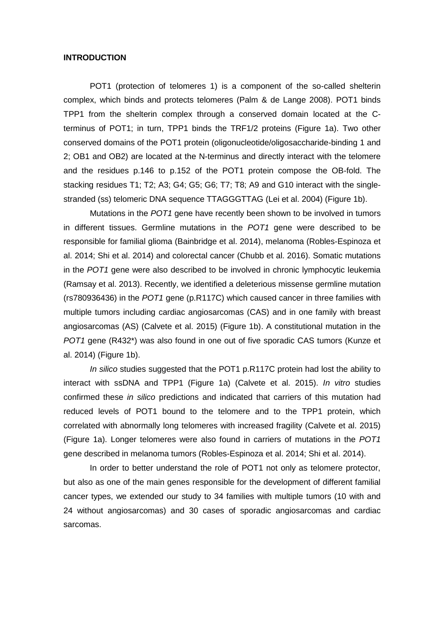## **INTRODUCTION**

POT1 (protection of telomeres 1) is a component of the so-called shelterin complex, which binds and protects telomeres (Palm & de Lange 2008). POT1 binds TPP1 from the shelterin complex through a conserved domain located at the Cterminus of POT1; in turn, TPP1 binds the TRF1/2 proteins (Figure 1a). Two other conserved domains of the POT1 protein (oligonucleotide/oligosaccharide-binding 1 and 2; OB1 and OB2) are located at the N-terminus and directly interact with the telomere and the residues p.146 to p.152 of the POT1 protein compose the OB-fold. The stacking residues T1; T2; A3; G4; G5; G6; T7; T8; A9 and G10 interact with the singlestranded (ss) telomeric DNA sequence TTAGGGTTAG (Lei et al. 2004) (Figure 1b).

Mutations in the *POT1* gene have recently been shown to be involved in tumors in different tissues. Germline mutations in the *POT1* gene were described to be responsible for familial glioma (Bainbridge et al. 2014), melanoma (Robles-Espinoza et al. 2014; Shi et al. 2014) and colorectal cancer (Chubb et al. 2016). Somatic mutations in the *POT1* gene were also described to be involved in chronic lymphocytic leukemia (Ramsay et al. 2013). Recently, we identified a deleterious missense germline mutation (rs780936436) in the *POT1* gene (p.R117C) which caused cancer in three families with multiple tumors including cardiac angiosarcomas (CAS) and in one family with breast angiosarcomas (AS) (Calvete et al. 2015) (Figure 1b). A constitutional mutation in the *POT1* gene (R432\*) was also found in one out of five sporadic CAS tumors (Kunze et al. 2014) (Figure 1b).

*In silico* studies suggested that the POT1 p.R117C protein had lost the ability to interact with ssDNA and TPP1 (Figure 1a) (Calvete et al. 2015). *In vitro* studies confirmed these *in silico* predictions and indicated that carriers of this mutation had reduced levels of POT1 bound to the telomere and to the TPP1 protein, which correlated with abnormally long telomeres with increased fragility (Calvete et al. 2015) (Figure 1a). Longer telomeres were also found in carriers of mutations in the *POT1* gene described in melanoma tumors (Robles-Espinoza et al. 2014; Shi et al. 2014).

In order to better understand the role of POT1 not only as telomere protector, but also as one of the main genes responsible for the development of different familial cancer types, we extended our study to 34 families with multiple tumors (10 with and 24 without angiosarcomas) and 30 cases of sporadic angiosarcomas and cardiac sarcomas.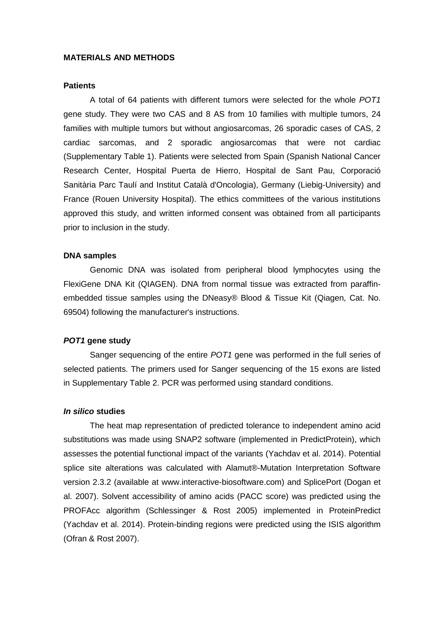## **MATERIALS AND METHODS**

### **Patients**

A total of 64 patients with different tumors were selected for the whole *POT1* gene study. They were two CAS and 8 AS from 10 families with multiple tumors, 24 families with multiple tumors but without angiosarcomas, 26 sporadic cases of CAS, 2 cardiac sarcomas, and 2 sporadic angiosarcomas that were not cardiac (Supplementary Table 1). Patients were selected from Spain (Spanish National Cancer Research Center, Hospital Puerta de Hierro, Hospital de Sant Pau, Corporació Sanitària Parc Taulí and Institut Català d'Oncologia), Germany (Liebig-University) and France (Rouen University Hospital). The ethics committees of the various institutions approved this study, and written informed consent was obtained from all participants prior to inclusion in the study.

#### **DNA samples**

Genomic DNA was isolated from peripheral blood lymphocytes using the FlexiGene DNA Kit (QIAGEN). DNA from normal tissue was extracted from paraffinembedded tissue samples using the DNeasy® Blood & Tissue Kit (Qiagen, Cat. No. 69504) following the manufacturer's instructions.

## *POT1* **gene study**

Sanger sequencing of the entire *POT1* gene was performed in the full series of selected patients. The primers used for Sanger sequencing of the 15 exons are listed in Supplementary Table 2. PCR was performed using standard conditions.

#### *In silico* **studies**

The heat map representation of predicted tolerance to independent amino acid substitutions was made using SNAP2 software (implemented in PredictProtein), which assesses the potential functional impact of the variants (Yachdav et al. 2014). Potential splice site alterations was calculated with Alamut®-Mutation Interpretation Software version 2.3.2 (available at [www.interactive-](http://www.interactive/)biosoftware.com) and SplicePort (Dogan et al. 2007). Solvent accessibility of amino acids (PACC score) was predicted using the PROFAcc algorithm (Schlessinger & Rost 2005) implemented in ProteinPredict (Yachdav et al. 2014). Protein-binding regions were predicted using the ISIS algorithm (Ofran & Rost 2007).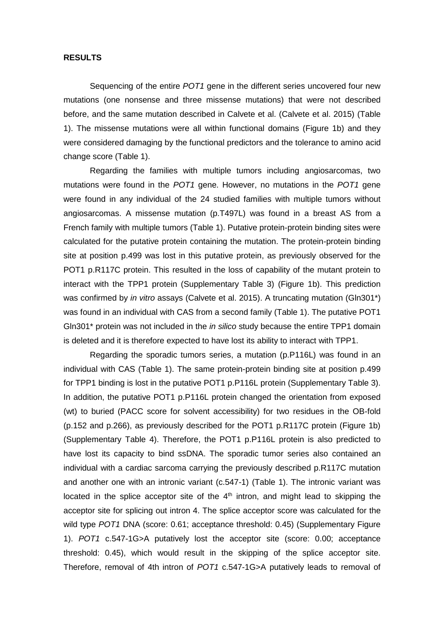# **RESULTS**

Sequencing of the entire *POT1* gene in the different series uncovered four new mutations (one nonsense and three missense mutations) that were not described before, and the same mutation described in Calvete et al. (Calvete et al. 2015) (Table 1). The missense mutations were all within functional domains (Figure 1b) and they were considered damaging by the functional predictors and the tolerance to amino acid change score (Table 1).

Regarding the families with multiple tumors including angiosarcomas, two mutations were found in the *POT1* gene. However, no mutations in the *POT1* gene were found in any individual of the 24 studied families with multiple tumors without angiosarcomas. A missense mutation (p.T497L) was found in a breast AS from a French family with multiple tumors (Table 1). Putative protein-protein binding sites were calculated for the putative protein containing the mutation. The protein-protein binding site at position p.499 was lost in this putative protein, as previously observed for the POT1 p.R117C protein. This resulted in the loss of capability of the mutant protein to interact with the TPP1 protein (Supplementary Table 3) (Figure 1b). This prediction was confirmed by *in vitro* assays (Calvete et al. 2015). A truncating mutation (Gln301\*) was found in an individual with CAS from a second family (Table 1). The putative POT1 Gln301\* protein was not included in the *in silico* study because the entire TPP1 domain is deleted and it is therefore expected to have lost its ability to interact with TPP1.

Regarding the sporadic tumors series, a mutation (p.P116L) was found in an individual with CAS (Table 1). The same protein-protein binding site at position p.499 for TPP1 binding is lost in the putative POT1 p.P116L protein (Supplementary Table 3). In addition, the putative POT1 p.P116L protein changed the orientation from exposed (wt) to buried (PACC score for solvent accessibility) for two residues in the OB-fold (p.152 and p.266), as previously described for the POT1 p.R117C protein (Figure 1b) (Supplementary Table 4). Therefore, the POT1 p.P116L protein is also predicted to have lost its capacity to bind ssDNA. The sporadic tumor series also contained an individual with a cardiac sarcoma carrying the previously described p.R117C mutation and another one with an intronic variant (c.547-1) (Table 1). The intronic variant was located in the splice acceptor site of the  $4<sup>th</sup>$  intron, and might lead to skipping the acceptor site for splicing out intron 4. The splice acceptor score was calculated for the wild type *POT1* DNA (score: 0.61; acceptance threshold: 0.45) (Supplementary Figure 1). *POT1* c.547-1G>A putatively lost the acceptor site (score: 0.00; acceptance threshold: 0.45), which would result in the skipping of the splice acceptor site. Therefore, removal of 4th intron of *POT1* c.547-1G>A putatively leads to removal of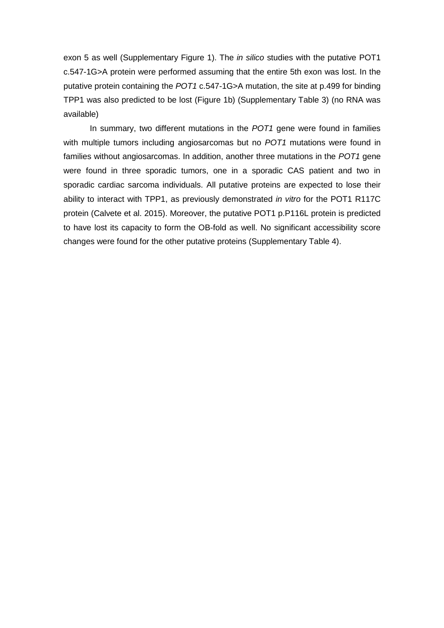exon 5 as well (Supplementary Figure 1). The *in silico* studies with the putative POT1 c.547-1G>A protein were performed assuming that the entire 5th exon was lost. In the putative protein containing the *POT1* c.547-1G>A mutation, the site at p.499 for binding TPP1 was also predicted to be lost (Figure 1b) (Supplementary Table 3) (no RNA was available)

In summary, two different mutations in the *POT1* gene were found in families with multiple tumors including angiosarcomas but no *POT1* mutations were found in families without angiosarcomas. In addition, another three mutations in the *POT1* gene were found in three sporadic tumors, one in a sporadic CAS patient and two in sporadic cardiac sarcoma individuals. All putative proteins are expected to lose their ability to interact with TPP1, as previously demonstrated *in vitro* for the POT1 R117C protein (Calvete et al. 2015). Moreover, the putative POT1 p.P116L protein is predicted to have lost its capacity to form the OB-fold as well. No significant accessibility score changes were found for the other putative proteins (Supplementary Table 4).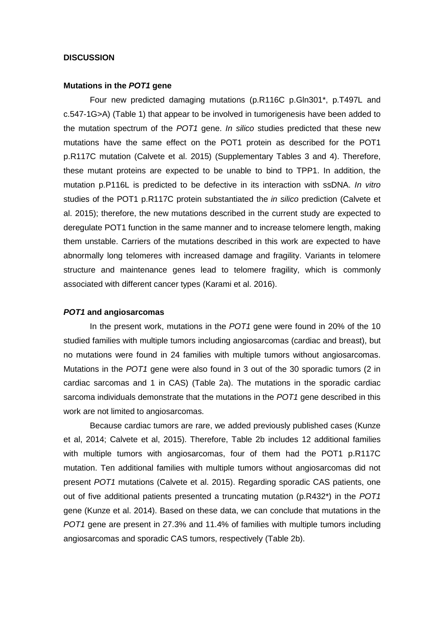# **DISCUSSION**

#### **Mutations in the** *POT1* **gene**

Four new predicted damaging mutations (p.R116C p.Gln301\*, p.T497L and c.547-1G>A) (Table 1) that appear to be involved in tumorigenesis have been added to the mutation spectrum of the *POT1* gene. *In silico* studies predicted that these new mutations have the same effect on the POT1 protein as described for the POT1 p.R117C mutation (Calvete et al. 2015) (Supplementary Tables 3 and 4). Therefore, these mutant proteins are expected to be unable to bind to TPP1. In addition, the mutation p.P116L is predicted to be defective in its interaction with ssDNA. *In vitro* studies of the POT1 p.R117C protein substantiated the *in silico* prediction (Calvete et al. 2015); therefore, the new mutations described in the current study are expected to deregulate POT1 function in the same manner and to increase telomere length, making them unstable. Carriers of the mutations described in this work are expected to have abnormally long telomeres with increased damage and fragility. Variants in telomere structure and maintenance genes lead to telomere fragility, which is commonly associated with different cancer types (Karami et al. 2016).

#### *POT1* **and angiosarcomas**

In the present work, mutations in the *POT1* gene were found in 20% of the 10 studied families with multiple tumors including angiosarcomas (cardiac and breast), but no mutations were found in 24 families with multiple tumors without angiosarcomas. Mutations in the *POT1* gene were also found in 3 out of the 30 sporadic tumors (2 in cardiac sarcomas and 1 in CAS) (Table 2a). The mutations in the sporadic cardiac sarcoma individuals demonstrate that the mutations in the *POT1* gene described in this work are not limited to angiosarcomas.

Because cardiac tumors are rare, we added previously published cases (Kunze et al, 2014; Calvete et al, 2015). Therefore, Table 2b includes 12 additional families with multiple tumors with angiosarcomas, four of them had the POT1 p.R117C mutation. Ten additional families with multiple tumors without angiosarcomas did not present *POT1* mutations (Calvete et al. 2015). Regarding sporadic CAS patients, one out of five additional patients presented a truncating mutation (p.R432\*) in the *POT1* gene (Kunze et al. 2014). Based on these data, we can conclude that mutations in the *POT1* gene are present in 27.3% and 11.4% of families with multiple tumors including angiosarcomas and sporadic CAS tumors, respectively (Table 2b).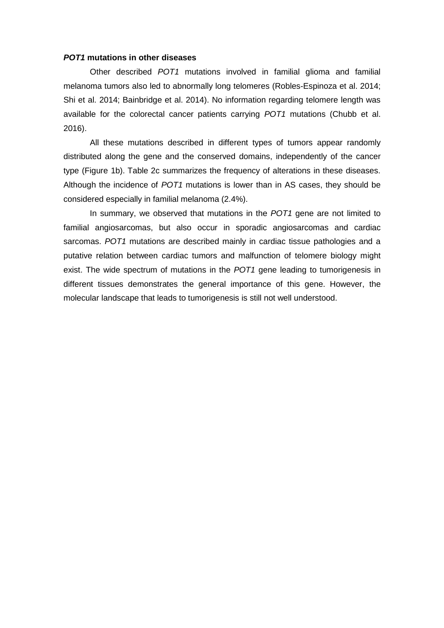# *POT1* **mutations in other diseases**

Other described *POT1* mutations involved in familial glioma and familial melanoma tumors also led to abnormally long telomeres (Robles-Espinoza et al. 2014; Shi et al. 2014; Bainbridge et al. 2014). No information regarding telomere length was available for the colorectal cancer patients carrying *POT1* mutations (Chubb et al. 2016).

All these mutations described in different types of tumors appear randomly distributed along the gene and the conserved domains, independently of the cancer type (Figure 1b). Table 2c summarizes the frequency of alterations in these diseases. Although the incidence of *POT1* mutations is lower than in AS cases, they should be considered especially in familial melanoma (2.4%).

In summary, we observed that mutations in the *POT1* gene are not limited to familial angiosarcomas, but also occur in sporadic angiosarcomas and cardiac sarcomas. *POT1* mutations are described mainly in cardiac tissue pathologies and a putative relation between cardiac tumors and malfunction of telomere biology might exist. The wide spectrum of mutations in the *POT1* gene leading to tumorigenesis in different tissues demonstrates the general importance of this gene. However, the molecular landscape that leads to tumorigenesis is still not well understood.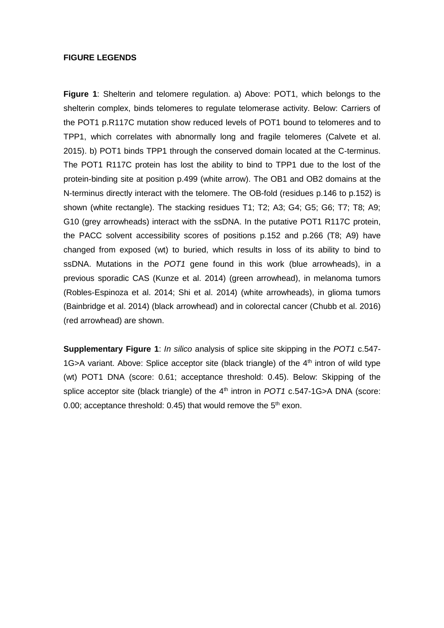# **FIGURE LEGENDS**

**Figure 1**: Shelterin and telomere regulation. a) Above: POT1, which belongs to the shelterin complex, binds telomeres to regulate telomerase activity. Below: Carriers of the POT1 p.R117C mutation show reduced levels of POT1 bound to telomeres and to TPP1, which correlates with abnormally long and fragile telomeres (Calvete et al. 2015). b) POT1 binds TPP1 through the conserved domain located at the C-terminus. The POT1 R117C protein has lost the ability to bind to TPP1 due to the lost of the protein-binding site at position p.499 (white arrow). The OB1 and OB2 domains at the N-terminus directly interact with the telomere. The OB-fold (residues p.146 to p.152) is shown (white rectangle). The stacking residues T1; T2; A3; G4; G5; G6; T7; T8; A9; G10 (grey arrowheads) interact with the ssDNA. In the putative POT1 R117C protein, the PACC solvent accessibility scores of positions p.152 and p.266 (T8; A9) have changed from exposed (wt) to buried, which results in loss of its ability to bind to ssDNA. Mutations in the *POT1* gene found in this work (blue arrowheads), in a previous sporadic CAS (Kunze et al. 2014) (green arrowhead), in melanoma tumors (Robles-Espinoza et al. 2014; Shi et al. 2014) (white arrowheads), in glioma tumors (Bainbridge et al. 2014) (black arrowhead) and in colorectal cancer (Chubb et al. 2016) (red arrowhead) are shown.

**Supplementary Figure 1**: *In silico* analysis of splice site skipping in the *POT1* c.547- 1G>A variant. Above: Splice acceptor site (black triangle) of the  $4<sup>th</sup>$  intron of wild type (wt) POT1 DNA (score: 0.61; acceptance threshold: 0.45). Below: Skipping of the splice acceptor site (black triangle) of the  $4<sup>th</sup>$  intron in *POT1* c.547-1G>A DNA (score: 0.00; acceptance threshold: 0.45) that would remove the  $5<sup>th</sup>$  exon.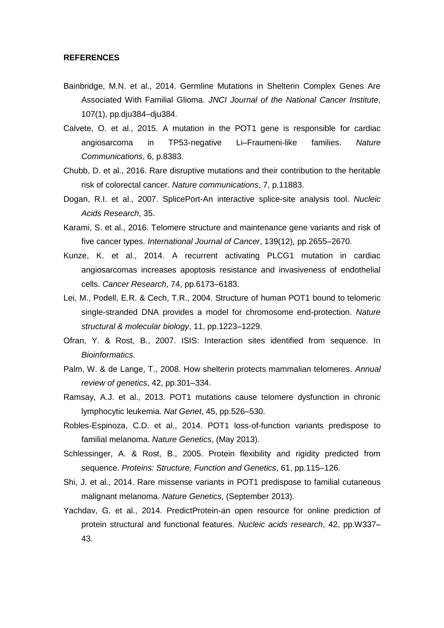#### **REFERENCES**

- Bainbridge, M.N. et al., 2014. Germline Mutations in Shelterin Complex Genes Are Associated With Familial Glioma. *JNCI Journal of the National Cancer Institute*, 107(1), pp.dju384–dju384.
- Calvete, O. et al., 2015. A mutation in the POT1 gene is responsible for cardiac angiosarcoma in TP53-negative Li–Fraumeni-like families. *Nature Communications*, 6, p.8383.
- Chubb, D. et al., 2016. Rare disruptive mutations and their contribution to the heritable risk of colorectal cancer. *Nature communications*, 7, p.11883.
- Dogan, R.I. et al., 2007. SplicePort-An interactive splice-site analysis tool. *Nucleic Acids Research*, 35.
- Karami, S. et al., 2016. Telomere structure and maintenance gene variants and risk of five cancer types. *International Journal of Cancer*, 139(12), pp.2655–2670.
- Kunze, K. et al., 2014. A recurrent activating PLCG1 mutation in cardiac angiosarcomas increases apoptosis resistance and invasiveness of endothelial cells. *Cancer Research*, 74, pp.6173–6183.
- Lei, M., Podell, E.R. & Cech, T.R., 2004. Structure of human POT1 bound to telomeric single-stranded DNA provides a model for chromosome end-protection. *Nature structural & molecular biology*, 11, pp.1223–1229.
- Ofran, Y. & Rost, B., 2007. ISIS: Interaction sites identified from sequence. In *Bioinformatics*.
- Palm, W. & de Lange, T., 2008. How shelterin protects mammalian telomeres. *Annual review of genetics*, 42, pp.301–334.
- Ramsay, A.J. et al., 2013. POT1 mutations cause telomere dysfunction in chronic lymphocytic leukemia. *Nat Genet*, 45, pp.526–530.
- Robles-Espinoza, C.D. et al., 2014. POT1 loss-of-function variants predispose to familial melanoma. *Nature Genetics*, (May 2013).
- Schlessinger, A. & Rost, B., 2005. Protein flexibility and rigidity predicted from sequence. *Proteins: Structure, Function and Genetics*, 61, pp.115–126.
- Shi, J. et al., 2014. Rare missense variants in POT1 predispose to familial cutaneous malignant melanoma. *Nature Genetics*, (September 2013).
- Yachdav, G. et al., 2014. PredictProtein-an open resource for online prediction of protein structural and functional features. *Nucleic acids research*, 42, pp.W337– 43.